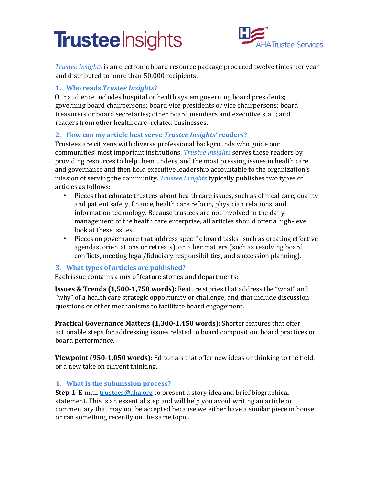# **Trustee** Insights



*Trustee Insights* is an electronic board resource package produced twelve times per year and distributed to more than 50,000 recipients.

### **1. Who reads** *Trustee Insights***?**

Our audience includes hospital or health system governing board presidents; governing board chairpersons; board vice presidents or vice chairpersons; board treasurers or board secretaries; other board members and executive staff; and readers from other health care–related businesses.

## **2. How can my article best serve** *Trustee Insights'* **readers?**

Trustees are citizens with diverse professional backgrounds who guide our communities' most important institutions. *Trustee Insights* serves these readers by providing resources to help them understand the most pressing issues in health care and governance and then hold executive leadership accountable to the organization's mission of serving the community. *Trustee Insights* typically publishes two types of articles as follows:

- Pieces that educate trustees about health care issues, such as clinical care, quality and patient safety, finance, health care reform, physician relations, and information technology. Because trustees are not involved in the daily management of the health care enterprise, all articles should offer a high-level look at these issues.
- Pieces on governance that address specific board tasks (such as creating effective agendas, orientations or retreats), or other matters (such as resolving board conflicts, meeting legal/fiduciary responsibilities, and succession planning).

#### **3. What types of articles are published?**

Each issue contains a mix of feature stories and departments:

**Issues & Trends (1,500-1,750 words):** Feature stories that address the "what" and "why" of a health care strategic opportunity or challenge, and that include discussion questions or other mechanisms to facilitate board engagement.

**Practical Governance Matters (1,300-1,450 words):** Shorter features that offer actionable steps for addressing issues related to board composition, board practices or board performance.

**Viewpoint (950-1,050 words):** Editorials that offer new ideas or thinking to the field, or a new take on current thinking.

#### **4. What is the submission process?**

**Step 1**: E-mai[l trustees@aha.org](mailto:trustees@aha.org) to present a story idea and brief biographical statement. This is an essential step and will help you avoid writing an article or commentary that may not be accepted because we either have a similar piece in house or ran something recently on the same topic.